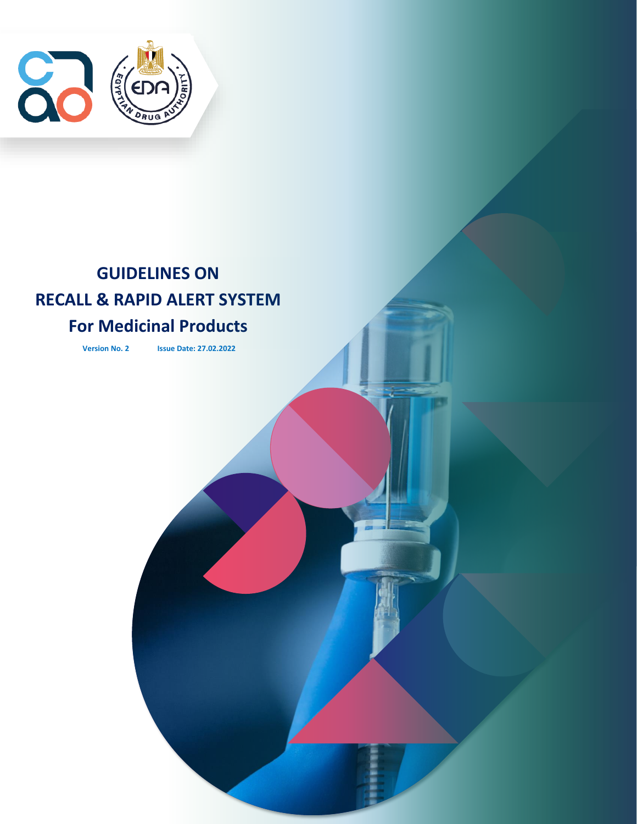

# **GUIDELINES ON RECALL & RAPID ALERT SYSTEM**

## **For Medicinal Products**

**Version No. 2 Issue Date: 27.02.2022**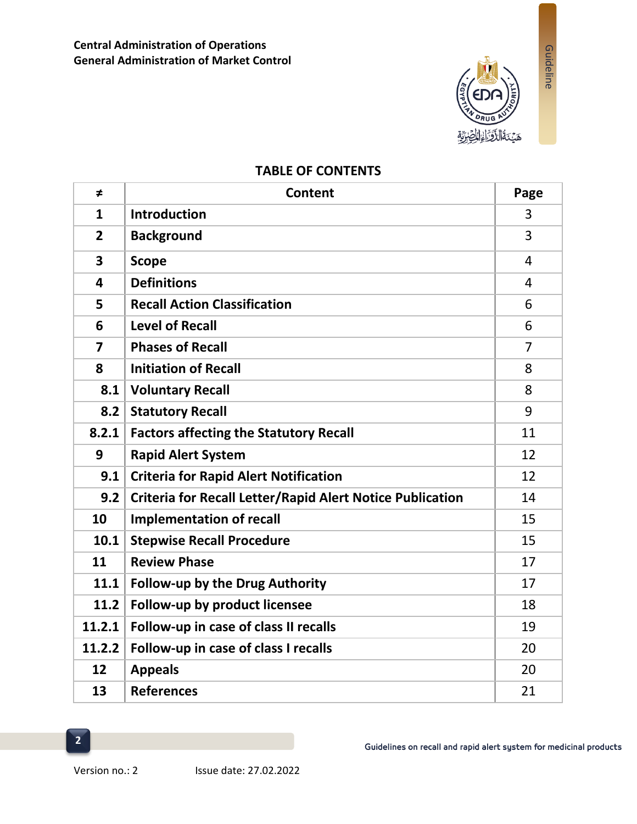

Guideline

## **TABLE OF CONTENTS**

| $\neq$                  | <b>Content</b>                                                   | Page           |
|-------------------------|------------------------------------------------------------------|----------------|
| $\mathbf{1}$            | <b>Introduction</b>                                              | 3              |
| $\overline{2}$          | <b>Background</b>                                                | 3              |
| $\overline{\mathbf{3}}$ | <b>Scope</b>                                                     | 4              |
| 4                       | <b>Definitions</b>                                               | 4              |
| 5                       | <b>Recall Action Classification</b>                              | 6              |
| 6                       | <b>Level of Recall</b>                                           | 6              |
| $\overline{\mathbf{z}}$ | <b>Phases of Recall</b>                                          | $\overline{7}$ |
| 8                       | <b>Initiation of Recall</b>                                      | 8              |
| 8.1                     | <b>Voluntary Recall</b>                                          | 8              |
| 8.2                     | <b>Statutory Recall</b>                                          | 9              |
| 8.2.1                   | <b>Factors affecting the Statutory Recall</b>                    | 11             |
| 9                       | <b>Rapid Alert System</b>                                        | 12             |
| 9.1                     | <b>Criteria for Rapid Alert Notification</b>                     | 12             |
| 9.2                     | <b>Criteria for Recall Letter/Rapid Alert Notice Publication</b> | 14             |
| 10                      | <b>Implementation of recall</b>                                  | 15             |
| 10.1                    | <b>Stepwise Recall Procedure</b>                                 | 15             |
| 11                      | <b>Review Phase</b>                                              | 17             |
| 11.1                    | <b>Follow-up by the Drug Authority</b>                           | 17             |
| 11.2                    | Follow-up by product licensee                                    | 18             |
| 11.2.1                  | Follow-up in case of class II recalls                            | 19             |
| 11.2.2                  | Follow-up in case of class I recalls                             | 20             |
| 12                      | <b>Appeals</b>                                                   | 20             |
| 13                      | <b>References</b>                                                | 21             |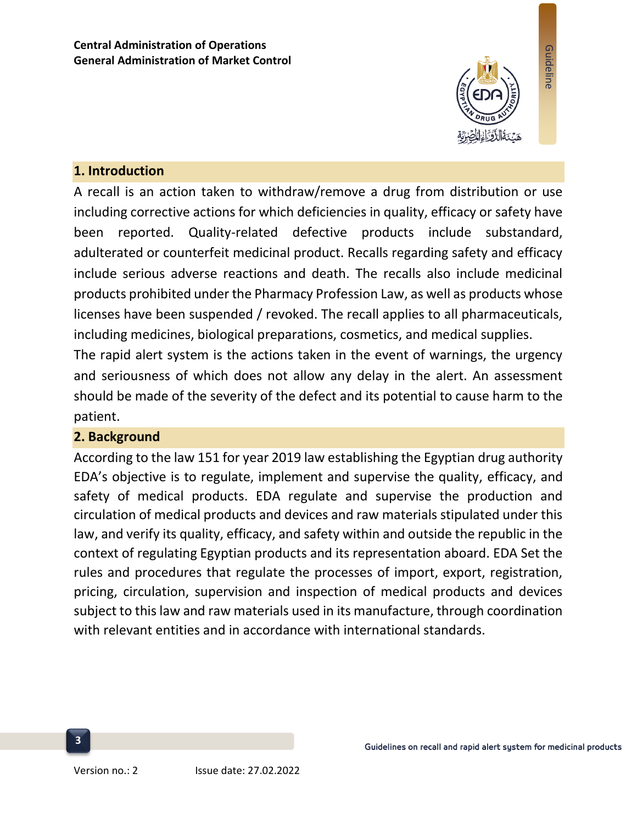

Guideline

#### **1. Introduction**

A recall is an action taken to withdraw/remove a drug from distribution or use including corrective actions for which deficiencies in quality, efficacy or safety have been reported. Quality-related defective products include substandard, adulterated or counterfeit medicinal product. Recalls regarding safety and efficacy include serious adverse reactions and death. The recalls also include medicinal products prohibited under the Pharmacy Profession Law, as well as products whose licenses have been suspended / revoked. The recall applies to all pharmaceuticals, including medicines, biological preparations, cosmetics, and medical supplies.

The rapid alert system is the actions taken in the event of warnings, the urgency and seriousness of which does not allow any delay in the alert. An assessment should be made of the severity of the defect and its potential to cause harm to the patient.

#### **2. Background**

According to the law 151 for year 2019 law establishing the Egyptian drug authority EDA's objective is to regulate, implement and supervise the quality, efficacy, and safety of medical products. EDA regulate and supervise the production and circulation of medical products and devices and raw materials stipulated under this law, and verify its quality, efficacy, and safety within and outside the republic in the context of regulating Egyptian products and its representation aboard. EDA Set the rules and procedures that regulate the processes of import, export, registration, pricing, circulation, supervision and inspection of medical products and devices subject to this law and raw materials used in its manufacture, through coordination with relevant entities and in accordance with international standards.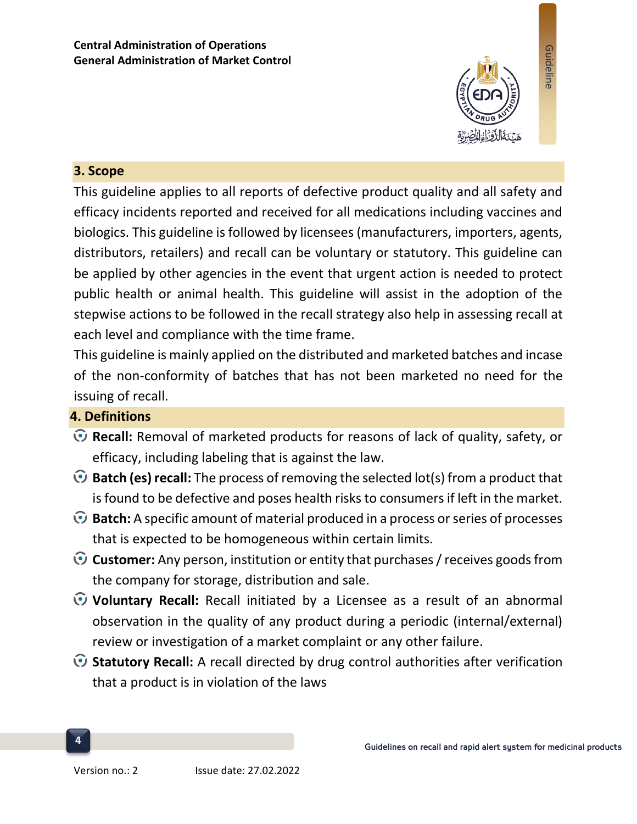

Guideline

#### **3. Scope**

This guideline applies to all reports of defective product quality and all safety and efficacy incidents reported and received for all medications including vaccines and biologics. This guideline is followed by licensees (manufacturers, importers, agents, distributors, retailers) and recall can be voluntary or statutory. This guideline can be applied by other agencies in the event that urgent action is needed to protect public health or animal health. This guideline will assist in the adoption of the stepwise actions to be followed in the recall strategy also help in assessing recall at each level and compliance with the time frame.

This guideline is mainly applied on the distributed and marketed batches and incase of the non-conformity of batches that has not been marketed no need for the issuing of recall.

### **4. Definitions**

- **Recall:** Removal of marketed products for reasons of lack of quality, safety, or efficacy, including labeling that is against the law.
- **Batch (es) recall:** The process of removing the selected lot(s) from a product that is found to be defective and poses health risks to consumers if left in the market.
- **Batch:** A specific amount of material produced in a process or series of processes that is expected to be homogeneous within certain limits.
- **Customer:** Any person, institution or entity that purchases / receives goods from the company for storage, distribution and sale.
- **Voluntary Recall:** Recall initiated by a Licensee as a result of an abnormal observation in the quality of any product during a periodic (internal/external) review or investigation of a market complaint or any other failure.
- **Statutory Recall:** A recall directed by drug control authorities after verification that a product is in violation of the laws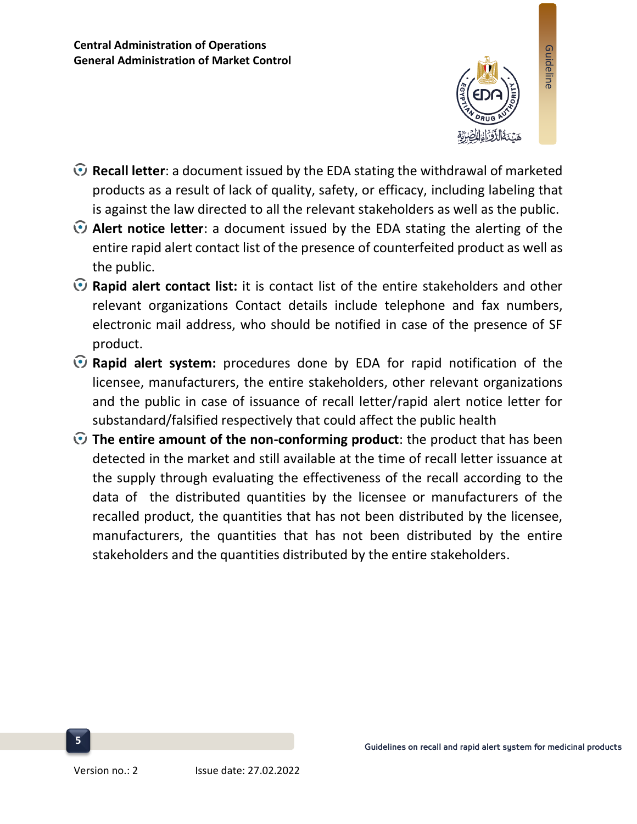

- **Recall letter**: a document issued by the EDA stating the withdrawal of marketed products as a result of lack of quality, safety, or efficacy, including labeling that is against the law directed to all the relevant stakeholders as well as the public.
- **Alert notice letter**: a document issued by the EDA stating the alerting of the entire rapid alert contact list of the presence of counterfeited product as well as the public.
- **Rapid alert contact list:** it is contact list of the entire stakeholders and other relevant organizations Contact details include telephone and fax numbers, electronic mail address, who should be notified in case of the presence of SF product.
- **Rapid alert system:** procedures done by EDA for rapid notification of the licensee, manufacturers, the entire stakeholders, other relevant organizations and the public in case of issuance of recall letter/rapid alert notice letter for substandard/falsified respectively that could affect the public health
- **The entire amount of the non-conforming product**: the product that has been detected in the market and still available at the time of recall letter issuance at the supply through evaluating the effectiveness of the recall according to the data of the distributed quantities by the licensee or manufacturers of the recalled product, the quantities that has not been distributed by the licensee, manufacturers, the quantities that has not been distributed by the entire stakeholders and the quantities distributed by the entire stakeholders.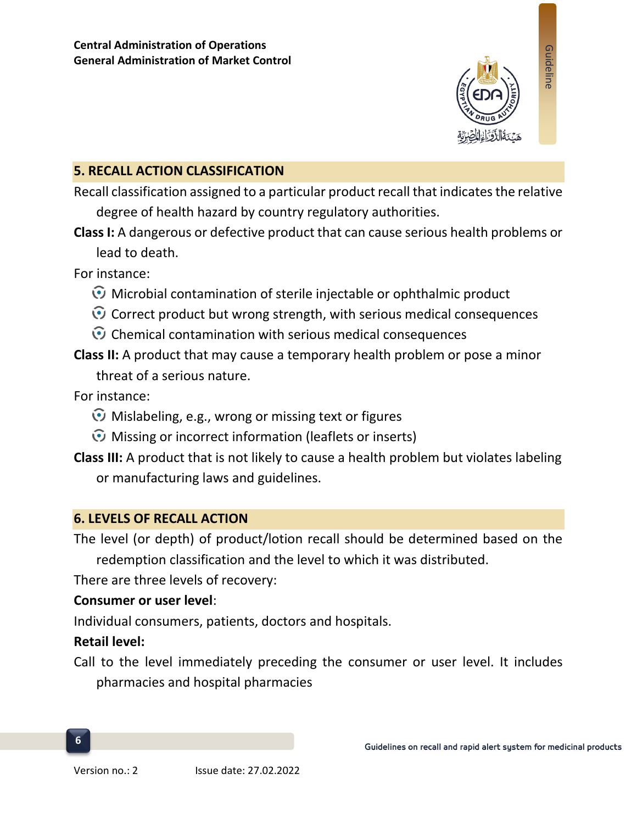

## **5. RECALL ACTION CLASSIFICATION**

Recall classification assigned to a particular product recall that indicates the relative degree of health hazard by country regulatory authorities.

**Class I:** A dangerous or defective product that can cause serious health problems or lead to death.

For instance:

- $\odot$  Microbial contamination of sterile injectable or ophthalmic product
- $\odot$  Correct product but wrong strength, with serious medical consequences
- $\odot$  Chemical contamination with serious medical consequences
- **Class II:** A product that may cause a temporary health problem or pose a minor threat of a serious nature.

For instance:

- Mislabeling, e.g., wrong or missing text or figures
- $\odot$  Missing or incorrect information (leaflets or inserts)
- **Class III:** A product that is not likely to cause a health problem but violates labeling or manufacturing laws and guidelines.

### **6. LEVELS OF RECALL ACTION**

The level (or depth) of product/lotion recall should be determined based on the redemption classification and the level to which it was distributed.

There are three levels of recovery:

#### **Consumer or user level**:

Individual consumers, patients, doctors and hospitals.

#### **Retail level:**

**6**

Call to the level immediately preceding the consumer or user level. It includes pharmacies and hospital pharmacies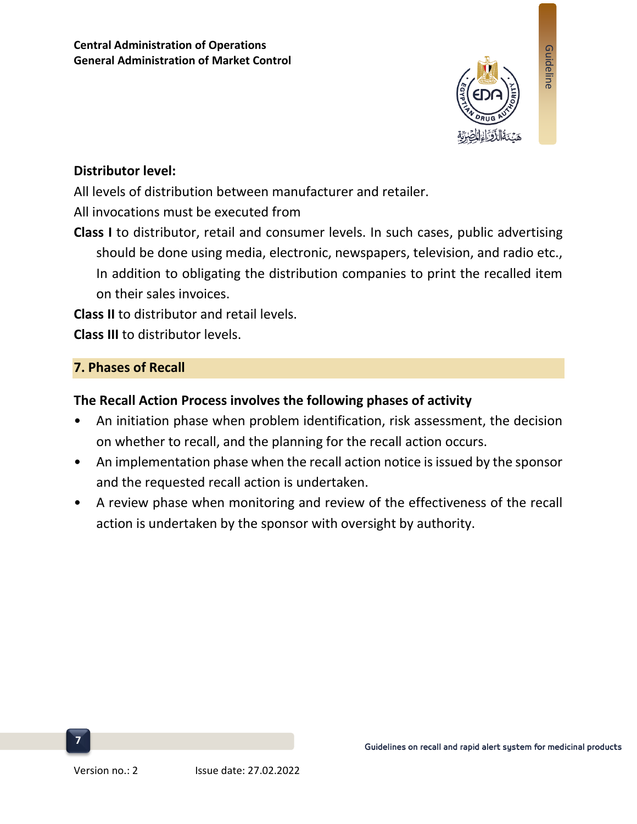

### **Distributor level:**

All levels of distribution between manufacturer and retailer.

All invocations must be executed from

**Class I** to distributor, retail and consumer levels. In such cases, public advertising should be done using media, electronic, newspapers, television, and radio etc., In addition to obligating the distribution companies to print the recalled item on their sales invoices.

**Class II** to distributor and retail levels.

**Class III** to distributor levels.

## **7. Phases of Recall**

## **The Recall Action Process involves the following phases of activity**

- An initiation phase when problem identification, risk assessment, the decision on whether to recall, and the planning for the recall action occurs.
- An implementation phase when the recall action notice is issued by the sponsor and the requested recall action is undertaken.
- A review phase when monitoring and review of the effectiveness of the recall action is undertaken by the sponsor with oversight by authority.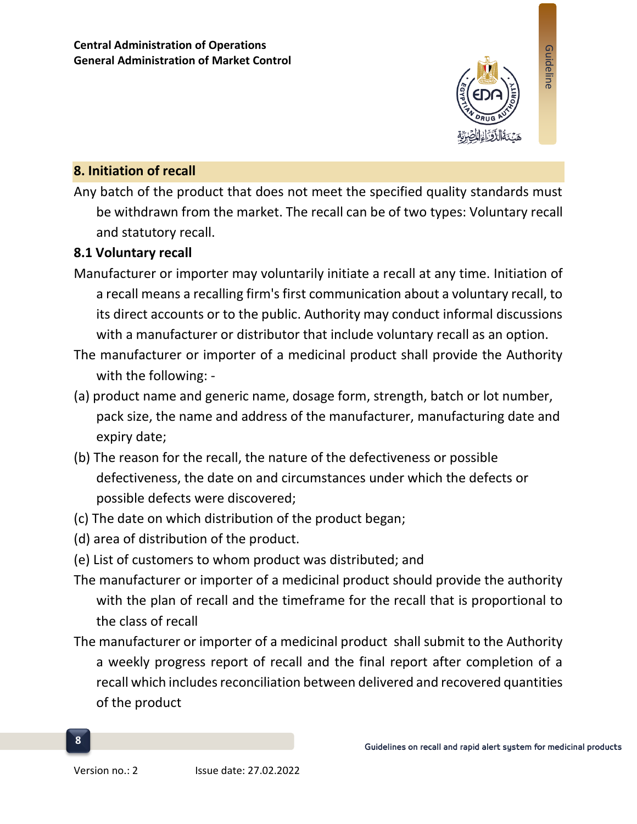

Guideline

## **8. Initiation of recall**

Any batch of the product that does not meet the specified quality standards must be withdrawn from the market. The recall can be of two types: Voluntary recall and statutory recall.

#### **8.1 Voluntary recall**

- Manufacturer or importer may voluntarily initiate a recall at any time. Initiation of a recall means a recalling firm's first communication about a voluntary recall, to its direct accounts or to the public. Authority may conduct informal discussions with a manufacturer or distributor that include voluntary recall as an option.
- The manufacturer or importer of a medicinal product shall provide the Authority with the following: -
- (a) product name and generic name, dosage form, strength, batch or lot number, pack size, the name and address of the manufacturer, manufacturing date and expiry date;
- (b) The reason for the recall, the nature of the defectiveness or possible defectiveness, the date on and circumstances under which the defects or possible defects were discovered;
- (c) The date on which distribution of the product began;
- (d) area of distribution of the product.
- (e) List of customers to whom product was distributed; and
- The manufacturer or importer of a medicinal product should provide the authority with the plan of recall and the timeframe for the recall that is proportional to the class of recall
- The manufacturer or importer of a medicinal product shall submit to the Authority a weekly progress report of recall and the final report after completion of a recall which includes reconciliation between delivered and recovered quantities of the product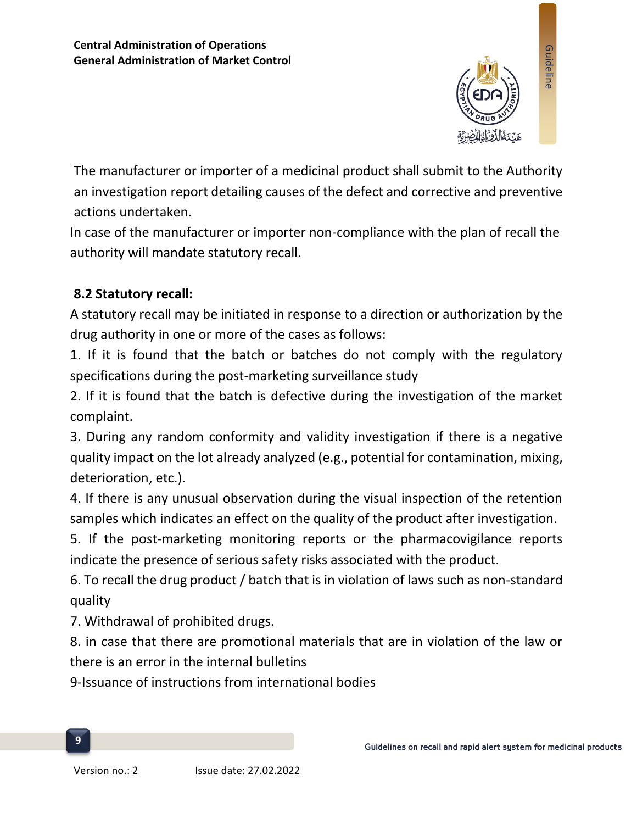

The manufacturer or importer of a medicinal product shall submit to the Authority an investigation report detailing causes of the defect and corrective and preventive actions undertaken.

In case of the manufacturer or importer non-compliance with the plan of recall the authority will mandate statutory recall.

## **8.2 Statutory recall:**

A statutory recall may be initiated in response to a direction or authorization by the drug authority in one or more of the cases as follows:

1. If it is found that the batch or batches do not comply with the regulatory specifications during the post-marketing surveillance study

2. If it is found that the batch is defective during the investigation of the market complaint.

3. During any random conformity and validity investigation if there is a negative quality impact on the lot already analyzed (e.g., potential for contamination, mixing, deterioration, etc.).

4. If there is any unusual observation during the visual inspection of the retention samples which indicates an effect on the quality of the product after investigation.

5. If the post-marketing monitoring reports or the pharmacovigilance reports indicate the presence of serious safety risks associated with the product.

6. To recall the drug product / batch that is in violation of laws such as non-standard quality

7. Withdrawal of prohibited drugs.

8. in case that there are promotional materials that are in violation of the law or there is an error in the internal bulletins

9-Issuance of instructions from international bodies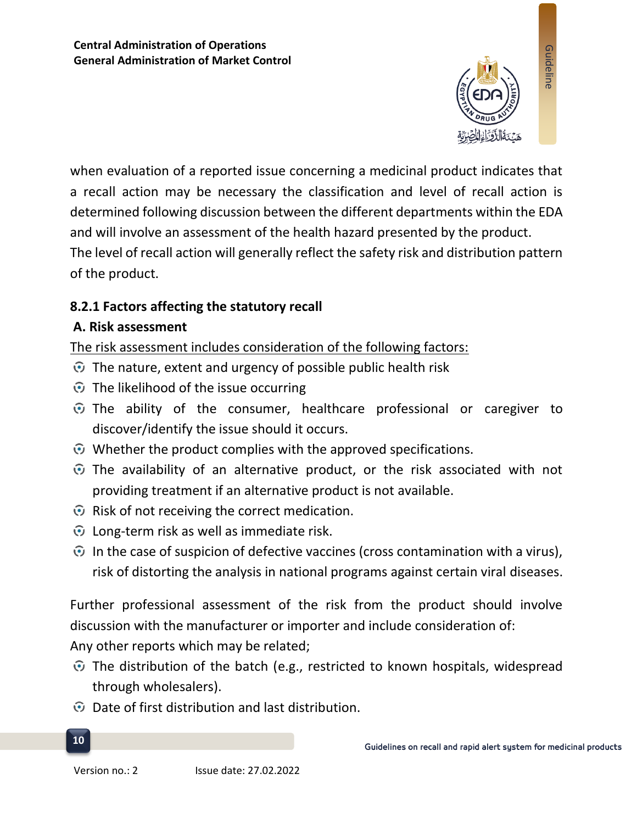

when evaluation of a reported issue concerning a medicinal product indicates that a recall action may be necessary the classification and level of recall action is determined following discussion between the different departments within the EDA and will involve an assessment of the health hazard presented by the product. The level of recall action will generally reflect the safety risk and distribution pattern of the product.

## **8.2.1 Factors affecting the statutory recall**

## **A. Risk assessment**

The risk assessment includes consideration of the following factors:

- $\odot$  The nature, extent and urgency of possible public health risk
- $\odot$  The likelihood of the issue occurring
- $\odot$  The ability of the consumer, healthcare professional or caregiver to discover/identify the issue should it occurs.
- $\odot$  Whether the product complies with the approved specifications.
- $\odot$  The availability of an alternative product, or the risk associated with not providing treatment if an alternative product is not available.
- $\odot$  Risk of not receiving the correct medication.
- $\odot$  Long-term risk as well as immediate risk.
- $\odot$  In the case of suspicion of defective vaccines (cross contamination with a virus), risk of distorting the analysis in national programs against certain viral diseases.

Further professional assessment of the risk from the product should involve discussion with the manufacturer or importer and include consideration of: Any other reports which may be related;

- $\odot$  The distribution of the batch (e.g., restricted to known hospitals, widespread through wholesalers).
- $\odot$  Date of first distribution and last distribution.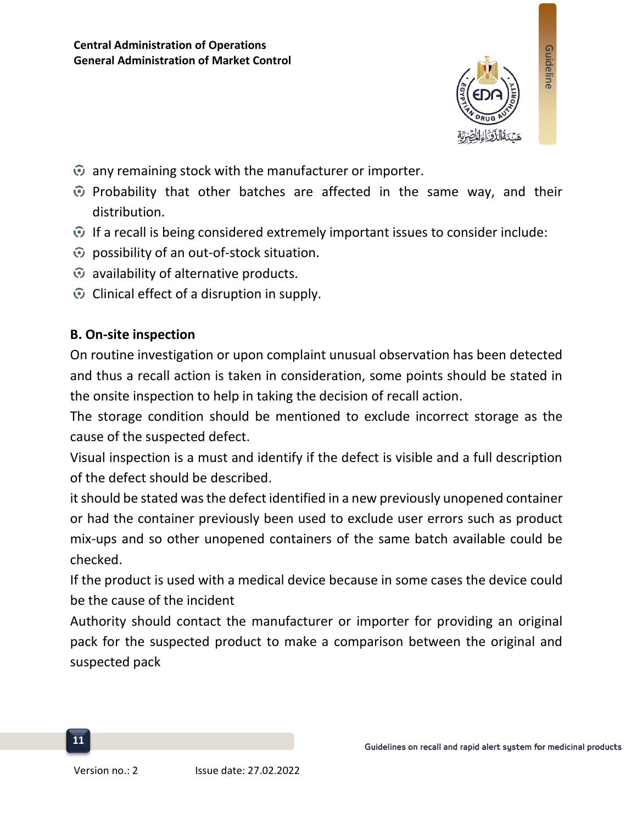

- $\odot$  any remaining stock with the manufacturer or importer.
- $\odot$  Probability that other batches are affected in the same way, and their distribution.
- $\odot$  If a recall is being considered extremely important issues to consider include:
- $\odot$  possibility of an out-of-stock situation.
- $\odot$  availability of alternative products.
- $\odot$  Clinical effect of a disruption in supply.

### **B. On-site inspection**

On routine investigation or upon complaint unusual observation has been detected and thus a recall action is taken in consideration, some points should be stated in the onsite inspection to help in taking the decision of recall action.

The storage condition should be mentioned to exclude incorrect storage as the cause of the suspected defect.

Visual inspection is a must and identify if the defect is visible and a full description of the defect should be described.

it should be stated was the defect identified in a new previously unopened container or had the container previously been used to exclude user errors such as product mix-ups and so other unopened containers of the same batch available could be checked.

If the product is used with a medical device because in some cases the device could be the cause of the incident

Authority should contact the manufacturer or importer for providing an original pack for the suspected product to make a comparison between the original and suspected pack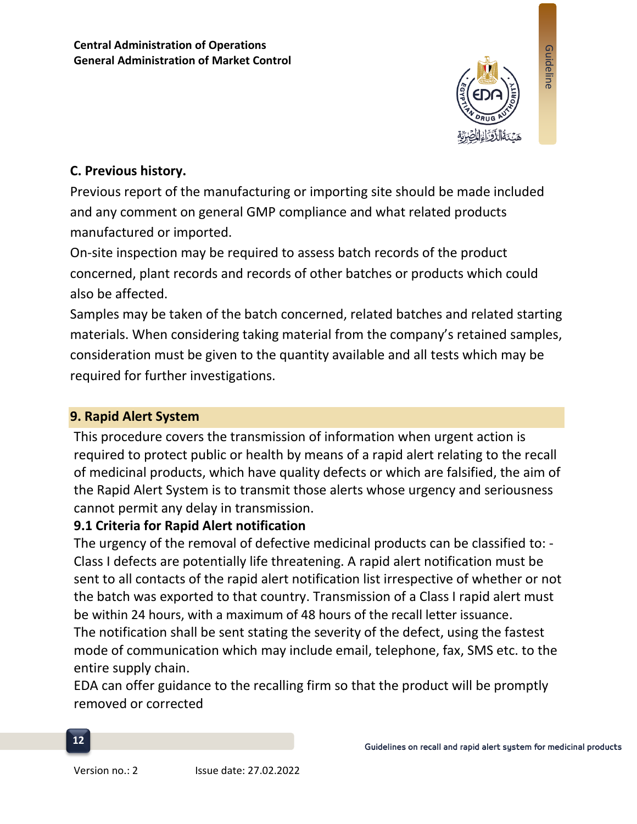

## **C. Previous history.**

Previous report of the manufacturing or importing site should be made included and any comment on general GMP compliance and what related products manufactured or imported.

On-site inspection may be required to assess batch records of the product concerned, plant records and records of other batches or products which could also be affected.

Samples may be taken of the batch concerned, related batches and related starting materials. When considering taking material from the company's retained samples, consideration must be given to the quantity available and all tests which may be required for further investigations.

## **9. Rapid Alert System**

This procedure covers the transmission of information when urgent action is required to protect public or health by means of a rapid alert relating to the recall of medicinal products, which have quality defects or which are falsified, the aim of the Rapid Alert System is to transmit those alerts whose urgency and seriousness cannot permit any delay in transmission.

### **9.1 Criteria for Rapid Alert notification**

The urgency of the removal of defective medicinal products can be classified to: - Class I defects are potentially life threatening. A rapid alert notification must be sent to all contacts of the rapid alert notification list irrespective of whether or not the batch was exported to that country. Transmission of a Class I rapid alert must be within 24 hours, with a maximum of 48 hours of the recall letter issuance. The notification shall be sent stating the severity of the defect, using the fastest mode of communication which may include email, telephone, fax, SMS etc. to the entire supply chain.

EDA can offer guidance to the recalling firm so that the product will be promptly removed or corrected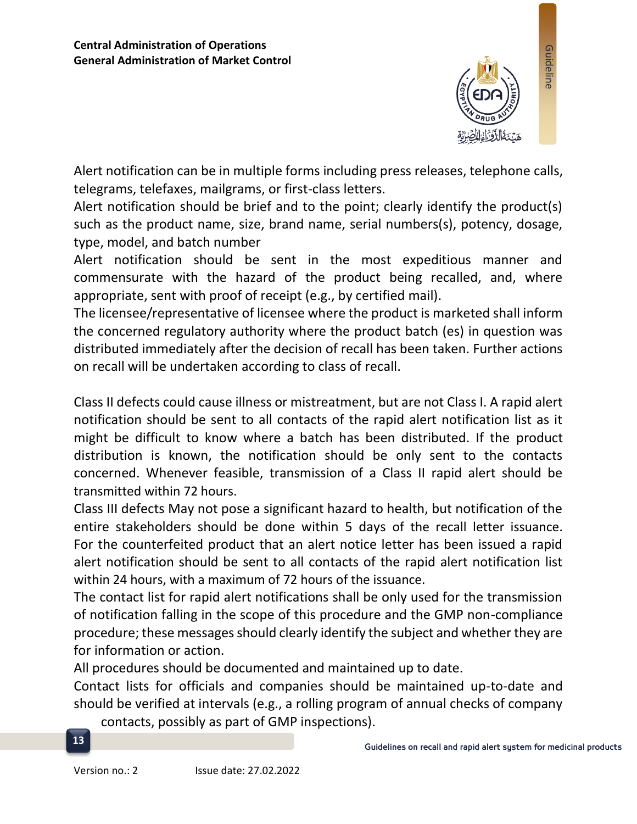

Alert notification can be in multiple forms including press releases, telephone calls, telegrams, telefaxes, mailgrams, or first-class letters.

Alert notification should be brief and to the point; clearly identify the product(s) such as the product name, size, brand name, serial numbers(s), potency, dosage, type, model, and batch number

Alert notification should be sent in the most expeditious manner and commensurate with the hazard of the product being recalled, and, where appropriate, sent with proof of receipt (e.g., by certified mail).

The licensee/representative of licensee where the product is marketed shall inform the concerned regulatory authority where the product batch (es) in question was distributed immediately after the decision of recall has been taken. Further actions on recall will be undertaken according to class of recall.

Class II defects could cause illness or mistreatment, but are not Class I. A rapid alert notification should be sent to all contacts of the rapid alert notification list as it might be difficult to know where a batch has been distributed. If the product distribution is known, the notification should be only sent to the contacts concerned. Whenever feasible, transmission of a Class II rapid alert should be transmitted within 72 hours.

Class III defects May not pose a significant hazard to health, but notification of the entire stakeholders should be done within 5 days of the recall letter issuance. For the counterfeited product that an alert notice letter has been issued a rapid alert notification should be sent to all contacts of the rapid alert notification list within 24 hours, with a maximum of 72 hours of the issuance.

The contact list for rapid alert notifications shall be only used for the transmission of notification falling in the scope of this procedure and the GMP non-compliance procedure; these messages should clearly identify the subject and whether they are for information or action.

All procedures should be documented and maintained up to date.

Contact lists for officials and companies should be maintained up-to-date and should be verified at intervals (e.g., a rolling program of annual checks of company

contacts, possibly as part of GMP inspections).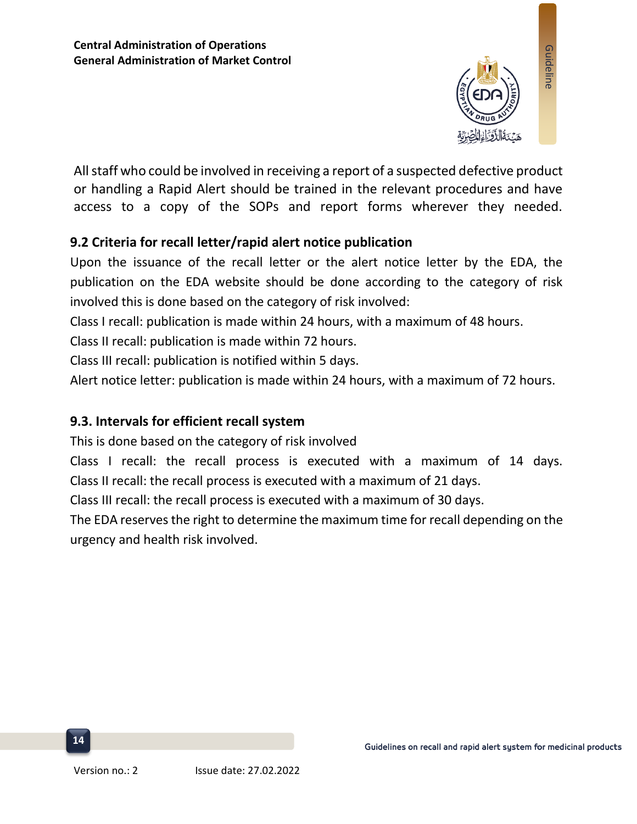

All staff who could be involved in receiving a report of a suspected defective product or handling a Rapid Alert should be trained in the relevant procedures and have access to a copy of the SOPs and report forms wherever they needed.

## **9.2 Criteria for recall letter/rapid alert notice publication**

Upon the issuance of the recall letter or the alert notice letter by the EDA, the publication on the EDA website should be done according to the category of risk involved this is done based on the category of risk involved:

Class I recall: publication is made within 24 hours, with a maximum of 48 hours.

Class II recall: publication is made within 72 hours.

Class III recall: publication is notified within 5 days.

Alert notice letter: publication is made within 24 hours, with a maximum of 72 hours.

#### **9.3. Intervals for efficient recall system**

This is done based on the category of risk involved

Class I recall: the recall process is executed with a maximum of 14 days. Class II recall: the recall process is executed with a maximum of 21 days.

Class III recall: the recall process is executed with a maximum of 30 days.

The EDA reserves the right to determine the maximum time for recall depending on the urgency and health risk involved.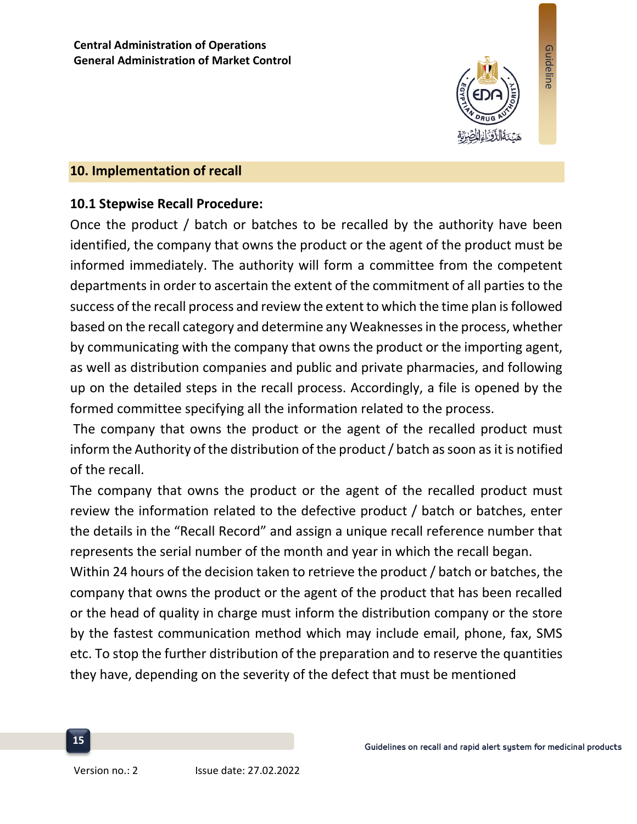

Guideline

#### **10. Implementation of recall**

### **10.1 Stepwise Recall Procedure:**

Once the product / batch or batches to be recalled by the authority have been identified, the company that owns the product or the agent of the product must be informed immediately. The authority will form a committee from the competent departments in order to ascertain the extent of the commitment of all parties to the success of the recall process and review the extent to which the time plan is followed based on the recall category and determine any Weaknesses in the process, whether by communicating with the company that owns the product or the importing agent, as well as distribution companies and public and private pharmacies, and following up on the detailed steps in the recall process. Accordingly, a file is opened by the formed committee specifying all the information related to the process.

The company that owns the product or the agent of the recalled product must inform the Authority of the distribution of the product / batch as soon as it is notified of the recall.

The company that owns the product or the agent of the recalled product must review the information related to the defective product / batch or batches, enter the details in the "Recall Record" and assign a unique recall reference number that represents the serial number of the month and year in which the recall began.

Within 24 hours of the decision taken to retrieve the product / batch or batches, the company that owns the product or the agent of the product that has been recalled or the head of quality in charge must inform the distribution company or the store by the fastest communication method which may include email, phone, fax, SMS etc. To stop the further distribution of the preparation and to reserve the quantities they have, depending on the severity of the defect that must be mentioned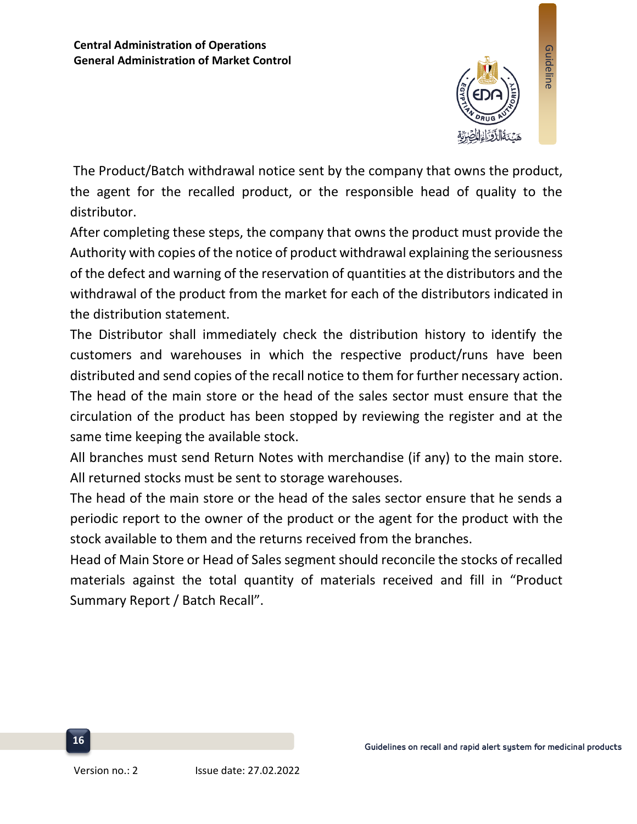

The Product/Batch withdrawal notice sent by the company that owns the product, the agent for the recalled product, or the responsible head of quality to the distributor.

After completing these steps, the company that owns the product must provide the Authority with copies of the notice of product withdrawal explaining the seriousness of the defect and warning of the reservation of quantities at the distributors and the withdrawal of the product from the market for each of the distributors indicated in the distribution statement.

The Distributor shall immediately check the distribution history to identify the customers and warehouses in which the respective product/runs have been distributed and send copies of the recall notice to them for further necessary action. The head of the main store or the head of the sales sector must ensure that the circulation of the product has been stopped by reviewing the register and at the same time keeping the available stock.

All branches must send Return Notes with merchandise (if any) to the main store. All returned stocks must be sent to storage warehouses.

The head of the main store or the head of the sales sector ensure that he sends a periodic report to the owner of the product or the agent for the product with the stock available to them and the returns received from the branches.

Head of Main Store or Head of Sales segment should reconcile the stocks of recalled materials against the total quantity of materials received and fill in "Product Summary Report / Batch Recall".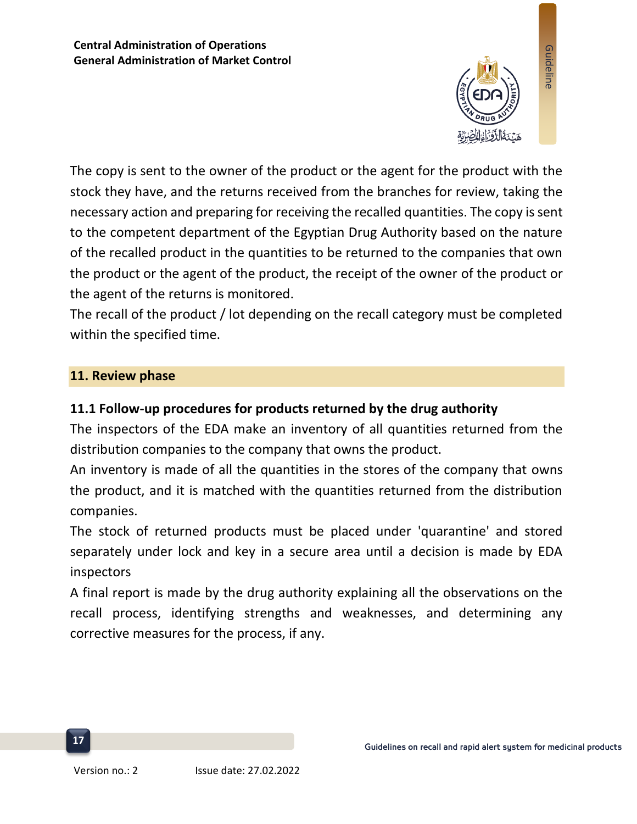

The copy is sent to the owner of the product or the agent for the product with the stock they have, and the returns received from the branches for review, taking the necessary action and preparing for receiving the recalled quantities. The copy is sent to the competent department of the Egyptian Drug Authority based on the nature of the recalled product in the quantities to be returned to the companies that own the product or the agent of the product, the receipt of the owner of the product or the agent of the returns is monitored.

The recall of the product / lot depending on the recall category must be completed within the specified time.

#### **11. Review phase**

#### **11.1 Follow-up procedures for products returned by the drug authority**

The inspectors of the EDA make an inventory of all quantities returned from the distribution companies to the company that owns the product.

An inventory is made of all the quantities in the stores of the company that owns the product, and it is matched with the quantities returned from the distribution companies.

The stock of returned products must be placed under 'quarantine' and stored separately under lock and key in a secure area until a decision is made by EDA inspectors

A final report is made by the drug authority explaining all the observations on the recall process, identifying strengths and weaknesses, and determining any corrective measures for the process, if any.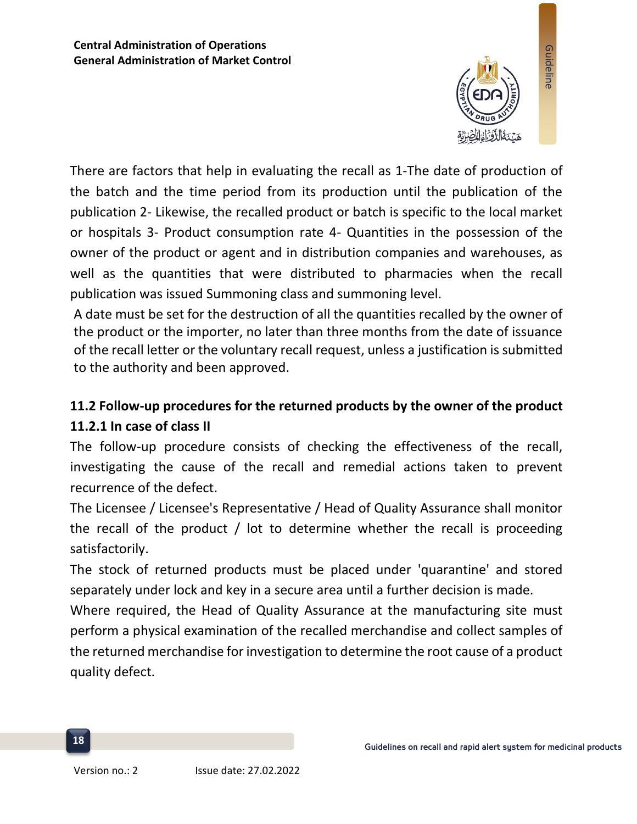

There are factors that help in evaluating the recall as 1-The date of production of the batch and the time period from its production until the publication of the publication 2- Likewise, the recalled product or batch is specific to the local market or hospitals 3- Product consumption rate 4- Quantities in the possession of the owner of the product or agent and in distribution companies and warehouses, as well as the quantities that were distributed to pharmacies when the recall publication was issued Summoning class and summoning level.

A date must be set for the destruction of all the quantities recalled by the owner of the product or the importer, no later than three months from the date of issuance of the recall letter or the voluntary recall request, unless a justification is submitted to the authority and been approved.

## **11.2 Follow-up procedures for the returned products by the owner of the product 11.2.1 In case of class II**

The follow-up procedure consists of checking the effectiveness of the recall, investigating the cause of the recall and remedial actions taken to prevent recurrence of the defect.

The Licensee / Licensee's Representative / Head of Quality Assurance shall monitor the recall of the product / lot to determine whether the recall is proceeding satisfactorily.

The stock of returned products must be placed under 'quarantine' and stored separately under lock and key in a secure area until a further decision is made.

Where required, the Head of Quality Assurance at the manufacturing site must perform a physical examination of the recalled merchandise and collect samples of the returned merchandise for investigation to determine the root cause of a product quality defect.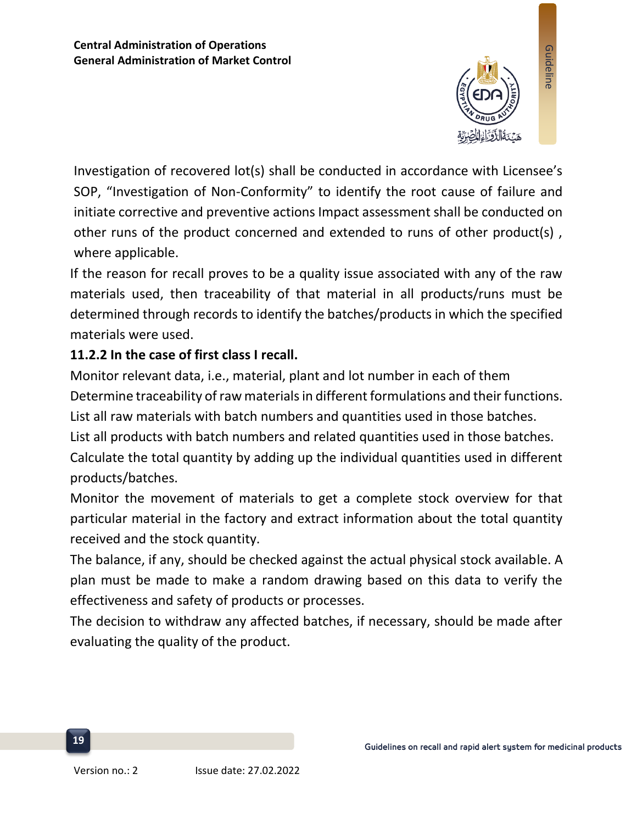

Investigation of recovered lot(s) shall be conducted in accordance with Licensee's SOP, "Investigation of Non-Conformity" to identify the root cause of failure and initiate corrective and preventive actions Impact assessment shall be conducted on other runs of the product concerned and extended to runs of other product(s) , where applicable.

If the reason for recall proves to be a quality issue associated with any of the raw materials used, then traceability of that material in all products/runs must be determined through records to identify the batches/products in which the specified materials were used.

## **11.2.2 In the case of first class I recall.**

Monitor relevant data, i.e., material, plant and lot number in each of them Determine traceability of raw materials in different formulations and their functions. List all raw materials with batch numbers and quantities used in those batches. List all products with batch numbers and related quantities used in those batches. Calculate the total quantity by adding up the individual quantities used in different products/batches.

Monitor the movement of materials to get a complete stock overview for that particular material in the factory and extract information about the total quantity received and the stock quantity.

The balance, if any, should be checked against the actual physical stock available. A plan must be made to make a random drawing based on this data to verify the effectiveness and safety of products or processes.

The decision to withdraw any affected batches, if necessary, should be made after evaluating the quality of the product.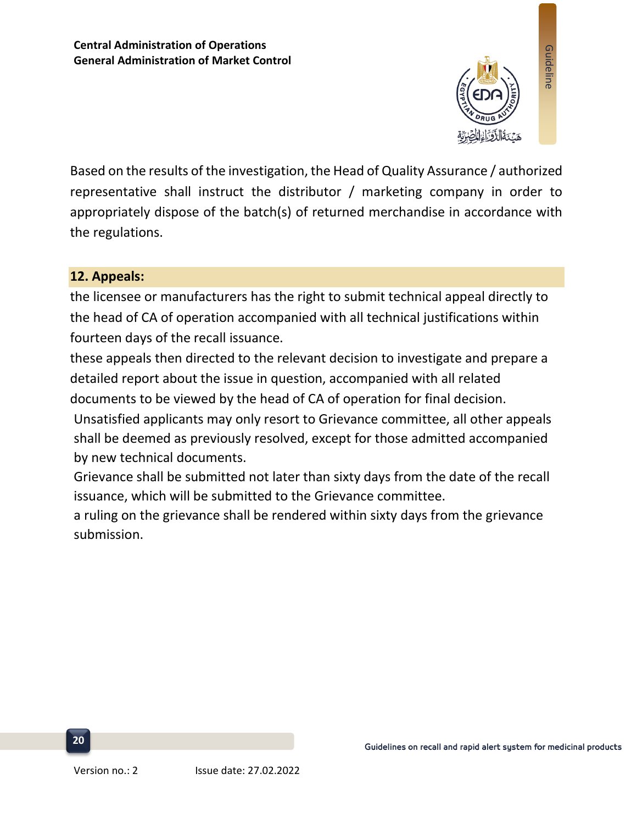

Based on the results of the investigation, the Head of Quality Assurance / authorized representative shall instruct the distributor / marketing company in order to appropriately dispose of the batch(s) of returned merchandise in accordance with the regulations.

## **12. Appeals:**

the licensee or manufacturers has the right to submit technical appeal directly to the head of CA of operation accompanied with all technical justifications within fourteen days of the recall issuance.

these appeals then directed to the relevant decision to investigate and prepare a detailed report about the issue in question, accompanied with all related documents to be viewed by the head of CA of operation for final decision.

Unsatisfied applicants may only resort to Grievance committee, all other appeals shall be deemed as previously resolved, except for those admitted accompanied by new technical documents.

Grievance shall be submitted not later than sixty days from the date of the recall issuance, which will be submitted to the Grievance committee.

a ruling on the grievance shall be rendered within sixty days from the grievance submission.